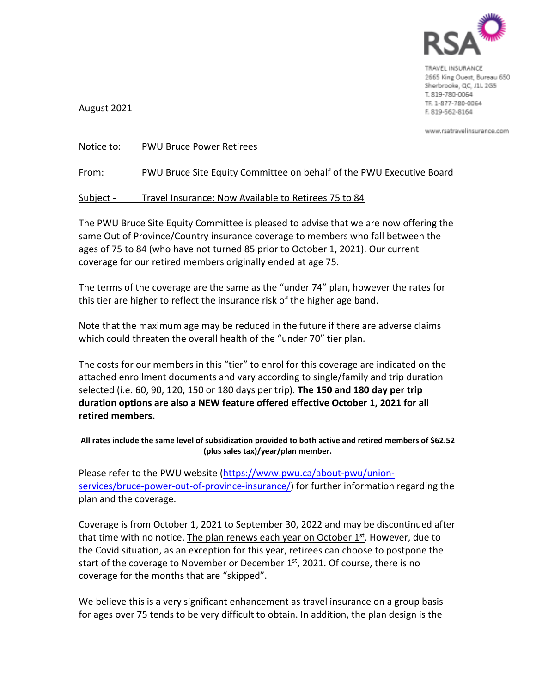

TRAVEL INSURANCE 2665 King Ouest, Bureau 650 Sherbrooke, QC, J1L 2G5 T. 819-780-0064 TF. 1-877-780-0064 F. 819-562-8164

www.rsatravelinsurance.com

August 2021

| Notice to: | <b>PWU Bruce Power Retirees</b>                                      |
|------------|----------------------------------------------------------------------|
| From:      | PWU Bruce Site Equity Committee on behalf of the PWU Executive Board |
| Subject -  | Travel Insurance: Now Available to Retirees 75 to 84                 |

The PWU Bruce Site Equity Committee is pleased to advise that we are now offering the same Out of Province/Country insurance coverage to members who fall between the ages of 75 to 84 (who have not turned 85 prior to October 1, 2021). Our current coverage for our retired members originally ended at age 75.

The terms of the coverage are the same as the "under 74" plan, however the rates for this tier are higher to reflect the insurance risk of the higher age band.

Note that the maximum age may be reduced in the future if there are adverse claims which could threaten the overall health of the "under 70" tier plan.

The costs for our members in this "tier" to enrol for this coverage are indicated on the attached enrollment documents and vary according to single/family and trip duration selected (i.e. 60, 90, 120, 150 or 180 days per trip). **The 150 and 180 day per trip duration options are also a NEW feature offered effective October 1, 2021 for all retired members.**

**All rates include the same level of subsidization provided to both active and retired members of \$62.52 (plus sales tax)/year/plan member.** 

Please refer to the PWU website (https://www.pwu.ca/about-pwu/unionservices/bruce-power-out-of-province-insurance/) for further information regarding the plan and the coverage.

Coverage is from October 1, 2021 to September 30, 2022 and may be discontinued after that time with no notice. The plan renews each year on October  $1<sup>st</sup>$ . However, due to the Covid situation, as an exception for this year, retirees can choose to postpone the start of the coverage to November or December  $1<sup>st</sup>$ , 2021. Of course, there is no coverage for the months that are "skipped".

We believe this is a very significant enhancement as travel insurance on a group basis for ages over 75 tends to be very difficult to obtain. In addition, the plan design is the